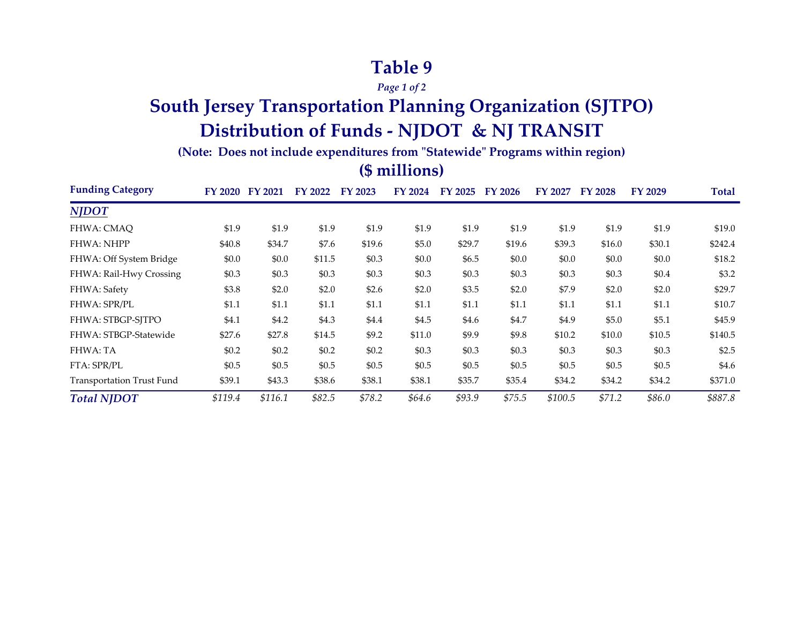## **Table 9**

*Page 1 of 2*

# **South Jersey Transportation Planning Organization (SJTPO) Distribution of Funds - NJDOT & NJ TRANSIT**

**(Note: Does not include expenditures from "Statewide" Programs within region)**

#### **(\$ millions)**

| <b>Funding Category</b>          | FY 2020 | FY 2021 | FY 2022 | FY 2023 | FY 2024 | FY 2025 | FY 2026 | FY 2027 | <b>FY 2028</b> | FY 2029 | Total   |
|----------------------------------|---------|---------|---------|---------|---------|---------|---------|---------|----------------|---------|---------|
| <b>NJDOT</b>                     |         |         |         |         |         |         |         |         |                |         |         |
| FHWA: CMAQ                       | \$1.9   | \$1.9   | \$1.9   | \$1.9   | \$1.9   | \$1.9   | \$1.9   | \$1.9   | \$1.9          | \$1.9   | \$19.0  |
| <b>FHWA: NHPP</b>                | \$40.8  | \$34.7  | \$7.6   | \$19.6  | \$5.0   | \$29.7  | \$19.6  | \$39.3  | \$16.0         | \$30.1  | \$242.4 |
| FHWA: Off System Bridge          | \$0.0   | \$0.0   | \$11.5  | \$0.3   | \$0.0   | \$6.5   | \$0.0   | \$0.0   | \$0.0          | \$0.0   | \$18.2  |
| FHWA: Rail-Hwy Crossing          | \$0.3   | \$0.3\$ | \$0.3   | \$0.3   | \$0.3\$ | \$0.3   | \$0.3   | \$0.3   | \$0.3          | \$0.4   | \$3.2   |
| FHWA: Safety                     | \$3.8   | \$2.0   | \$2.0   | \$2.6   | \$2.0   | \$3.5   | \$2.0   | \$7.9   | \$2.0          | \$2.0   | \$29.7  |
| <b>FHWA: SPR/PL</b>              | \$1.1   | \$1.1   | \$1.1   | \$1.1   | \$1.1   | \$1.1   | \$1.1   | \$1.1   | \$1.1          | \$1.1   | \$10.7  |
| FHWA: STBGP-SITPO                | \$4.1   | \$4.2   | \$4.3   | \$4.4   | \$4.5   | \$4.6   | \$4.7   | \$4.9   | \$5.0          | \$5.1   | \$45.9  |
| FHWA: STBGP-Statewide            | \$27.6  | \$27.8  | \$14.5  | \$9.2   | \$11.0  | \$9.9   | \$9.8   | \$10.2  | \$10.0         | \$10.5  | \$140.5 |
| FHWA: TA                         | \$0.2\$ | \$0.2\$ | \$0.2\$ | \$0.2   | \$0.3\$ | \$0.3\$ | \$0.3   | \$0.3   | \$0.3          | \$0.3   | \$2.5   |
| FTA: SPR/PL                      | \$0.5   | \$0.5   | \$0.5   | \$0.5   | \$0.5   | \$0.5   | \$0.5   | \$0.5   | \$0.5          | \$0.5   | \$4.6   |
| <b>Transportation Trust Fund</b> | \$39.1  | \$43.3  | \$38.6  | \$38.1  | \$38.1  | \$35.7  | \$35.4  | \$34.2  | \$34.2         | \$34.2  | \$371.0 |
| <b>Total NJDOT</b>               | \$119.4 | \$116.1 | \$82.5  | \$78.2  | \$64.6  | \$93.9  | \$75.5  | \$100.5 | \$71.2         | \$86.0  | \$887.8 |